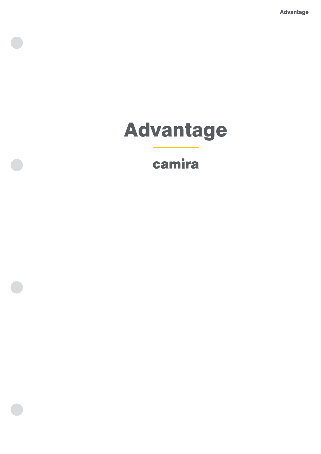Advantage

# Advantage

# camira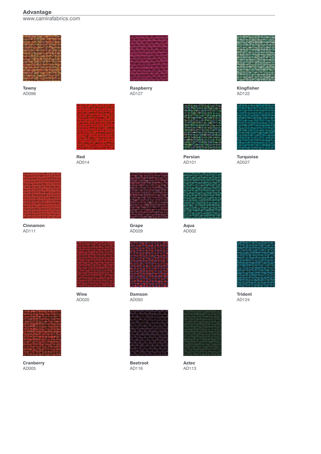# Advantage

www.camirafabrics.com



Tawny AD098



Red AD014



Cinnamon AD111



Raspberry AD127



Kingfisher AD122



**Turquoise** AD027



Grape AD029



Persian AD101

Aqua AD002



Wine AD020



**Cranberry** AD005



Damson AD093



Beetroot AD116



Aztec AD113



Trident AD124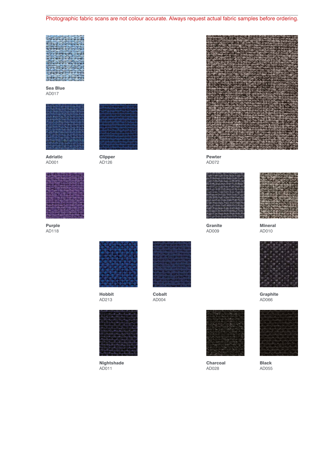Photographic fabric scans are not colour accurate. Always request actual fabric samples before ordering.

Sea Blue AD017



Adriatic AD001



Purple AD118



Clipper AD126



Hobbit AD213



**Nightshade** AD011



Cobalt AD004



Pewter AD072

**Granite** AD009





Mineral AD010



**Graphite** AD066



Charcoal AD028



Black AD055